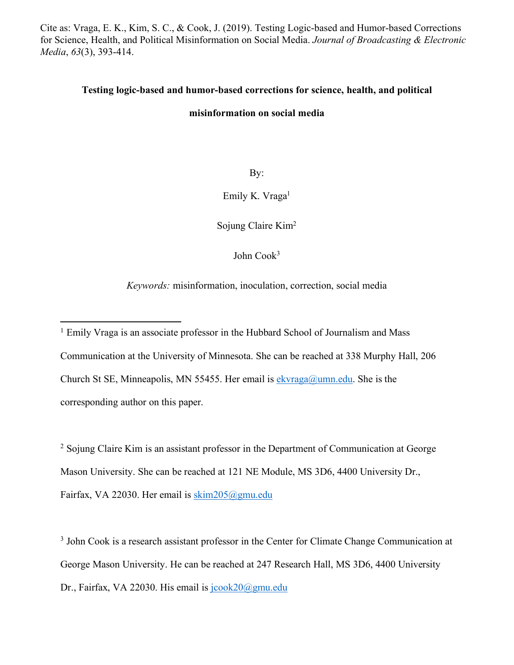Cite as: Vraga, E. K., Kim, S. C., & Cook, J. (2019). Testing Logic-based and Humor-based Corrections for Science, Health, and Political Misinformation on Social Media. *Journal of Broadcasting & Electronic Media*, *63*(3), 393-414.

# **Testing logic-based and humor-based corrections for science, health, and political**

## **misinformation on social media**

By:

Emily K. Vraga<sup>1</sup>

Sojung Claire Kim2

John Cook3

*Keywords:* misinformation, inoculation, correction, social media

<sup>2</sup> Sojung Claire Kim is an assistant professor in the Department of Communication at George Mason University. She can be reached at 121 NE Module, MS 3D6, 4400 University Dr., Fairfax, VA 22030. Her email is skim205@gmu.edu

<sup>3</sup> John Cook is a research assistant professor in the Center for Climate Change Communication at George Mason University. He can be reached at 247 Research Hall, MS 3D6, 4400 University Dr., Fairfax, VA 22030. His email is  $jcook20$ @gmu.edu

<sup>&</sup>lt;sup>1</sup> Emily Vraga is an associate professor in the Hubbard School of Journalism and Mass Communication at the University of Minnesota. She can be reached at 338 Murphy Hall, 206 Church St SE, Minneapolis, MN 55455. Her email is  $ekvraga@uum.edu$ . She is the corresponding author on this paper.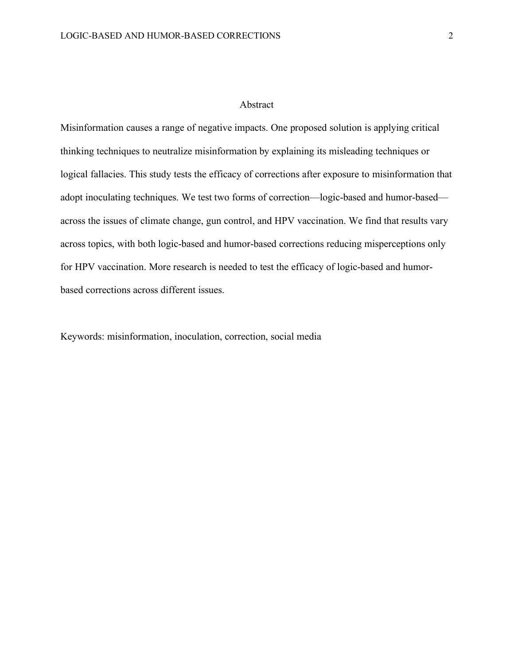#### Abstract

Misinformation causes a range of negative impacts. One proposed solution is applying critical thinking techniques to neutralize misinformation by explaining its misleading techniques or logical fallacies. This study tests the efficacy of corrections after exposure to misinformation that adopt inoculating techniques. We test two forms of correction—logic-based and humor-based across the issues of climate change, gun control, and HPV vaccination. We find that results vary across topics, with both logic-based and humor-based corrections reducing misperceptions only for HPV vaccination. More research is needed to test the efficacy of logic-based and humorbased corrections across different issues.

Keywords: misinformation, inoculation, correction, social media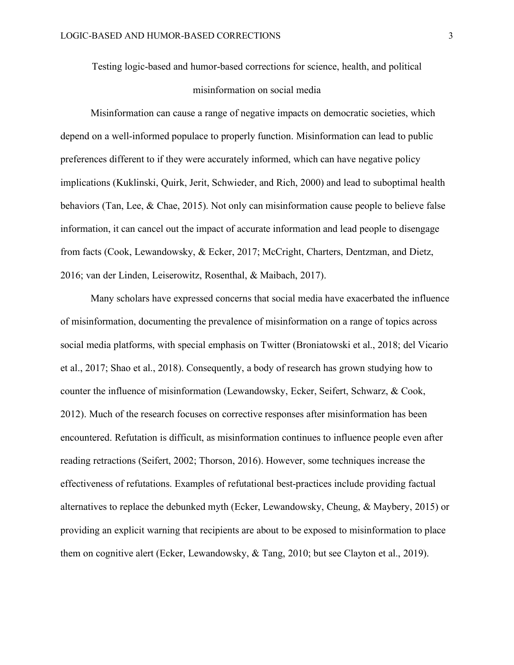Testing logic-based and humor-based corrections for science, health, and political misinformation on social media

Misinformation can cause a range of negative impacts on democratic societies, which depend on a well-informed populace to properly function. Misinformation can lead to public preferences different to if they were accurately informed, which can have negative policy implications (Kuklinski, Quirk, Jerit, Schwieder, and Rich, 2000) and lead to suboptimal health behaviors (Tan, Lee, & Chae, 2015). Not only can misinformation cause people to believe false information, it can cancel out the impact of accurate information and lead people to disengage from facts (Cook, Lewandowsky, & Ecker, 2017; McCright, Charters, Dentzman, and Dietz, 2016; van der Linden, Leiserowitz, Rosenthal, & Maibach, 2017).

Many scholars have expressed concerns that social media have exacerbated the influence of misinformation, documenting the prevalence of misinformation on a range of topics across social media platforms, with special emphasis on Twitter (Broniatowski et al., 2018; del Vicario et al., 2017; Shao et al., 2018). Consequently, a body of research has grown studying how to counter the influence of misinformation (Lewandowsky, Ecker, Seifert, Schwarz, & Cook, 2012). Much of the research focuses on corrective responses after misinformation has been encountered. Refutation is difficult, as misinformation continues to influence people even after reading retractions (Seifert, 2002; Thorson, 2016). However, some techniques increase the effectiveness of refutations. Examples of refutational best-practices include providing factual alternatives to replace the debunked myth (Ecker, Lewandowsky, Cheung, & Maybery, 2015) or providing an explicit warning that recipients are about to be exposed to misinformation to place them on cognitive alert (Ecker, Lewandowsky, & Tang, 2010; but see Clayton et al., 2019).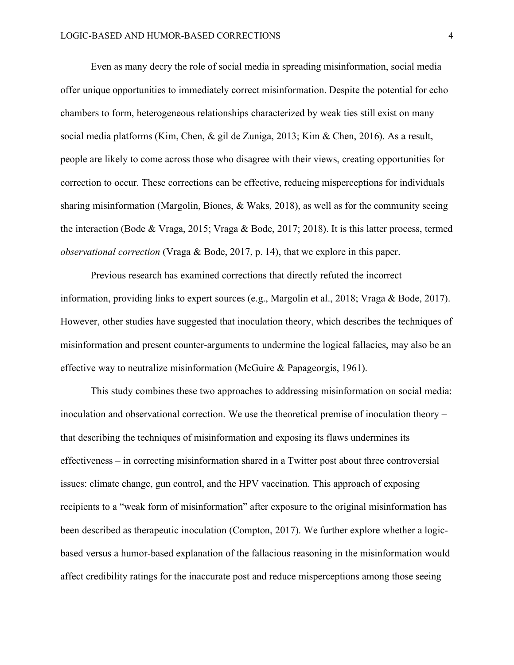Even as many decry the role of social media in spreading misinformation, social media offer unique opportunities to immediately correct misinformation. Despite the potential for echo chambers to form, heterogeneous relationships characterized by weak ties still exist on many social media platforms (Kim, Chen, & gil de Zuniga, 2013; Kim & Chen, 2016). As a result, people are likely to come across those who disagree with their views, creating opportunities for correction to occur. These corrections can be effective, reducing misperceptions for individuals sharing misinformation (Margolin, Biones, & Waks, 2018), as well as for the community seeing the interaction (Bode & Vraga, 2015; Vraga & Bode, 2017; 2018). It is this latter process, termed *observational correction* (Vraga & Bode, 2017, p. 14), that we explore in this paper.

Previous research has examined corrections that directly refuted the incorrect information, providing links to expert sources (e.g., Margolin et al., 2018; Vraga & Bode, 2017). However, other studies have suggested that inoculation theory, which describes the techniques of misinformation and present counter-arguments to undermine the logical fallacies, may also be an effective way to neutralize misinformation (McGuire & Papageorgis, 1961).

This study combines these two approaches to addressing misinformation on social media: inoculation and observational correction. We use the theoretical premise of inoculation theory – that describing the techniques of misinformation and exposing its flaws undermines its effectiveness – in correcting misinformation shared in a Twitter post about three controversial issues: climate change, gun control, and the HPV vaccination. This approach of exposing recipients to a "weak form of misinformation" after exposure to the original misinformation has been described as therapeutic inoculation (Compton, 2017). We further explore whether a logicbased versus a humor-based explanation of the fallacious reasoning in the misinformation would affect credibility ratings for the inaccurate post and reduce misperceptions among those seeing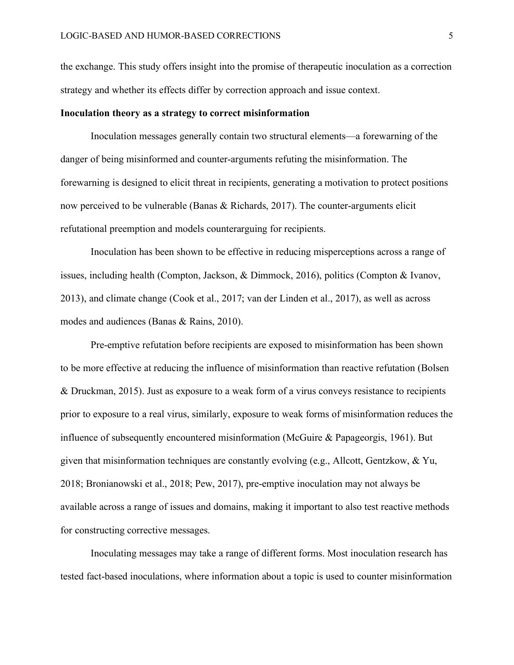the exchange. This study offers insight into the promise of therapeutic inoculation as a correction strategy and whether its effects differ by correction approach and issue context.

#### **Inoculation theory as a strategy to correct misinformation**

Inoculation messages generally contain two structural elements—a forewarning of the danger of being misinformed and counter-arguments refuting the misinformation. The forewarning is designed to elicit threat in recipients, generating a motivation to protect positions now perceived to be vulnerable (Banas & Richards, 2017). The counter-arguments elicit refutational preemption and models counterarguing for recipients.

Inoculation has been shown to be effective in reducing misperceptions across a range of issues, including health (Compton, Jackson, & Dimmock, 2016), politics (Compton & Ivanov, 2013), and climate change (Cook et al., 2017; van der Linden et al., 2017), as well as across modes and audiences (Banas & Rains, 2010).

Pre-emptive refutation before recipients are exposed to misinformation has been shown to be more effective at reducing the influence of misinformation than reactive refutation (Bolsen & Druckman, 2015). Just as exposure to a weak form of a virus conveys resistance to recipients prior to exposure to a real virus, similarly, exposure to weak forms of misinformation reduces the influence of subsequently encountered misinformation (McGuire & Papageorgis, 1961). But given that misinformation techniques are constantly evolving (e.g., Allcott, Gentzkow, & Yu, 2018; Bronianowski et al., 2018; Pew, 2017), pre-emptive inoculation may not always be available across a range of issues and domains, making it important to also test reactive methods for constructing corrective messages.

Inoculating messages may take a range of different forms. Most inoculation research has tested fact-based inoculations, where information about a topic is used to counter misinformation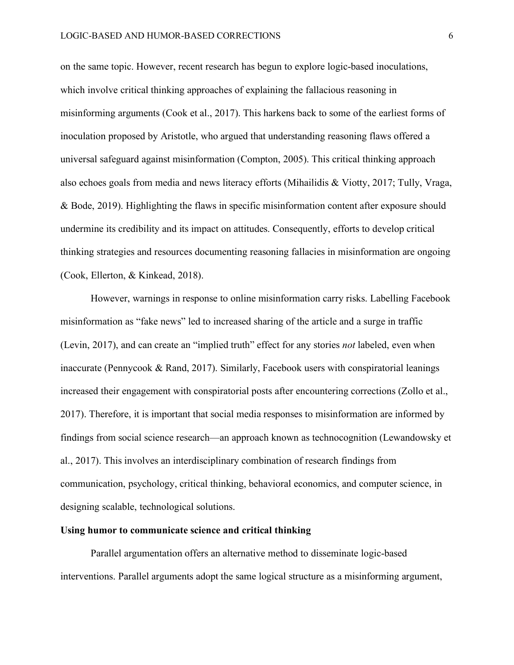on the same topic. However, recent research has begun to explore logic-based inoculations, which involve critical thinking approaches of explaining the fallacious reasoning in misinforming arguments (Cook et al., 2017). This harkens back to some of the earliest forms of inoculation proposed by Aristotle, who argued that understanding reasoning flaws offered a universal safeguard against misinformation (Compton, 2005). This critical thinking approach also echoes goals from media and news literacy efforts (Mihailidis & Viotty, 2017; Tully, Vraga, & Bode, 2019). Highlighting the flaws in specific misinformation content after exposure should undermine its credibility and its impact on attitudes. Consequently, efforts to develop critical thinking strategies and resources documenting reasoning fallacies in misinformation are ongoing (Cook, Ellerton, & Kinkead, 2018).

However, warnings in response to online misinformation carry risks. Labelling Facebook misinformation as "fake news" led to increased sharing of the article and a surge in traffic (Levin, 2017), and can create an "implied truth" effect for any stories *not* labeled, even when inaccurate (Pennycook & Rand, 2017). Similarly, Facebook users with conspiratorial leanings increased their engagement with conspiratorial posts after encountering corrections (Zollo et al., 2017). Therefore, it is important that social media responses to misinformation are informed by findings from social science research—an approach known as technocognition (Lewandowsky et al., 2017). This involves an interdisciplinary combination of research findings from communication, psychology, critical thinking, behavioral economics, and computer science, in designing scalable, technological solutions.

#### **Using humor to communicate science and critical thinking**

Parallel argumentation offers an alternative method to disseminate logic-based interventions. Parallel arguments adopt the same logical structure as a misinforming argument,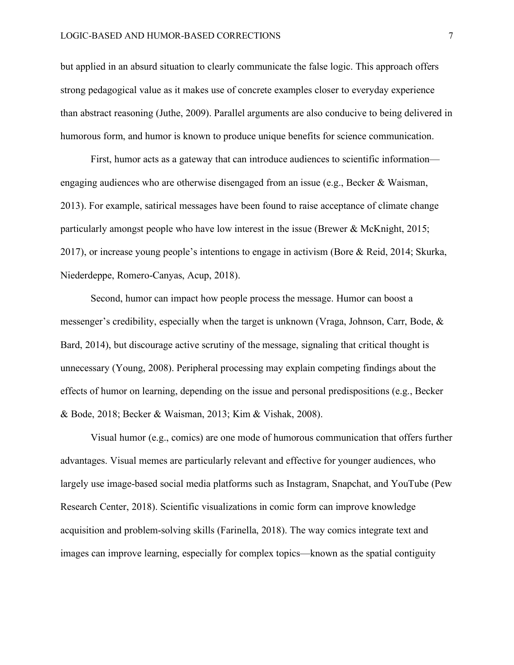but applied in an absurd situation to clearly communicate the false logic. This approach offers strong pedagogical value as it makes use of concrete examples closer to everyday experience than abstract reasoning (Juthe, 2009). Parallel arguments are also conducive to being delivered in humorous form, and humor is known to produce unique benefits for science communication.

First, humor acts as a gateway that can introduce audiences to scientific information engaging audiences who are otherwise disengaged from an issue (e.g., Becker & Waisman, 2013). For example, satirical messages have been found to raise acceptance of climate change particularly amongst people who have low interest in the issue (Brewer & McKnight, 2015; 2017), or increase young people's intentions to engage in activism (Bore & Reid, 2014; Skurka, Niederdeppe, Romero-Canyas, Acup, 2018).

Second, humor can impact how people process the message. Humor can boost a messenger's credibility, especially when the target is unknown (Vraga, Johnson, Carr, Bode, & Bard, 2014), but discourage active scrutiny of the message, signaling that critical thought is unnecessary (Young, 2008). Peripheral processing may explain competing findings about the effects of humor on learning, depending on the issue and personal predispositions (e.g., Becker & Bode, 2018; Becker & Waisman, 2013; Kim & Vishak, 2008).

Visual humor (e.g., comics) are one mode of humorous communication that offers further advantages. Visual memes are particularly relevant and effective for younger audiences, who largely use image-based social media platforms such as Instagram, Snapchat, and YouTube (Pew Research Center, 2018). Scientific visualizations in comic form can improve knowledge acquisition and problem-solving skills (Farinella, 2018). The way comics integrate text and images can improve learning, especially for complex topics—known as the spatial contiguity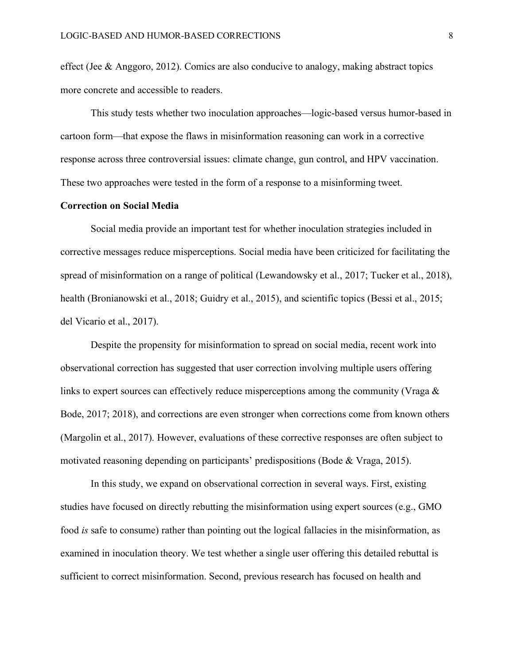effect (Jee & Anggoro, 2012). Comics are also conducive to analogy, making abstract topics more concrete and accessible to readers.

This study tests whether two inoculation approaches—logic-based versus humor-based in cartoon form—that expose the flaws in misinformation reasoning can work in a corrective response across three controversial issues: climate change, gun control, and HPV vaccination. These two approaches were tested in the form of a response to a misinforming tweet.

## **Correction on Social Media**

Social media provide an important test for whether inoculation strategies included in corrective messages reduce misperceptions. Social media have been criticized for facilitating the spread of misinformation on a range of political (Lewandowsky et al., 2017; Tucker et al., 2018), health (Bronianowski et al., 2018; Guidry et al., 2015), and scientific topics (Bessi et al., 2015; del Vicario et al., 2017).

Despite the propensity for misinformation to spread on social media, recent work into observational correction has suggested that user correction involving multiple users offering links to expert sources can effectively reduce misperceptions among the community (Vraga  $\&$ Bode, 2017; 2018), and corrections are even stronger when corrections come from known others (Margolin et al., 2017). However, evaluations of these corrective responses are often subject to motivated reasoning depending on participants' predispositions (Bode & Vraga, 2015).

In this study, we expand on observational correction in several ways. First, existing studies have focused on directly rebutting the misinformation using expert sources (e.g., GMO food *is* safe to consume) rather than pointing out the logical fallacies in the misinformation, as examined in inoculation theory. We test whether a single user offering this detailed rebuttal is sufficient to correct misinformation. Second, previous research has focused on health and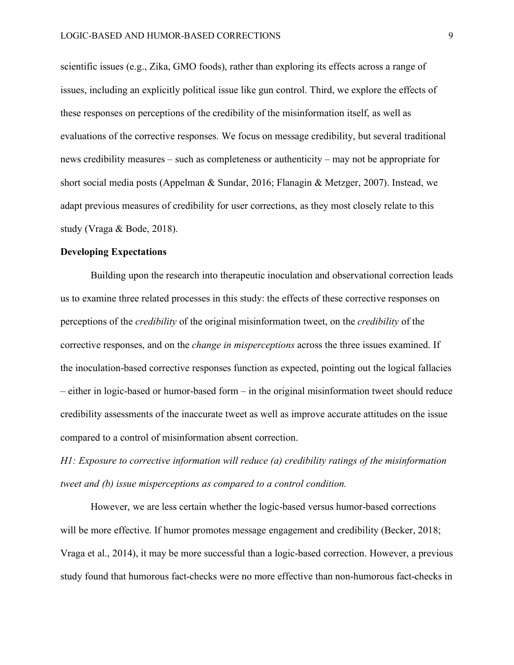scientific issues (e.g., Zika, GMO foods), rather than exploring its effects across a range of issues, including an explicitly political issue like gun control. Third, we explore the effects of these responses on perceptions of the credibility of the misinformation itself, as well as evaluations of the corrective responses. We focus on message credibility, but several traditional news credibility measures – such as completeness or authenticity – may not be appropriate for short social media posts (Appelman & Sundar, 2016; Flanagin & Metzger, 2007). Instead, we adapt previous measures of credibility for user corrections, as they most closely relate to this study (Vraga & Bode, 2018).

## **Developing Expectations**

Building upon the research into therapeutic inoculation and observational correction leads us to examine three related processes in this study: the effects of these corrective responses on perceptions of the *credibility* of the original misinformation tweet, on the *credibility* of the corrective responses, and on the *change in misperceptions* across the three issues examined. If the inoculation-based corrective responses function as expected, pointing out the logical fallacies – either in logic-based or humor-based form – in the original misinformation tweet should reduce credibility assessments of the inaccurate tweet as well as improve accurate attitudes on the issue compared to a control of misinformation absent correction.

*H1: Exposure to corrective information will reduce (a) credibility ratings of the misinformation tweet and (b) issue misperceptions as compared to a control condition.*

However, we are less certain whether the logic-based versus humor-based corrections will be more effective. If humor promotes message engagement and credibility (Becker, 2018; Vraga et al., 2014), it may be more successful than a logic-based correction. However, a previous study found that humorous fact-checks were no more effective than non-humorous fact-checks in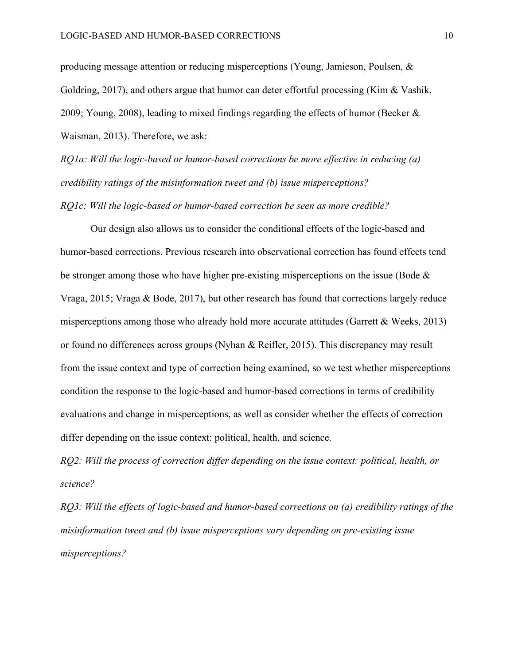producing message attention or reducing misperceptions (Young, Jamieson, Poulsen, & Goldring, 2017), and others argue that humor can deter effortful processing (Kim & Vashik, 2009; Young, 2008), leading to mixed findings regarding the effects of humor (Becker  $\&$ Waisman, 2013). Therefore, we ask:

*RQ1a: Will the logic-based or humor-based corrections be more effective in reducing (a) credibility ratings of the misinformation tweet and (b) issue misperceptions?*

*RQ1c: Will the logic-based or humor-based correction be seen as more credible?*

Our design also allows us to consider the conditional effects of the logic-based and humor-based corrections. Previous research into observational correction has found effects tend be stronger among those who have higher pre-existing misperceptions on the issue (Bode & Vraga, 2015; Vraga & Bode, 2017), but other research has found that corrections largely reduce misperceptions among those who already hold more accurate attitudes (Garrett & Weeks, 2013) or found no differences across groups (Nyhan & Reifler, 2015). This discrepancy may result from the issue context and type of correction being examined, so we test whether misperceptions condition the response to the logic-based and humor-based corrections in terms of credibility evaluations and change in misperceptions, as well as consider whether the effects of correction differ depending on the issue context: political, health, and science.

*RQ2: Will the process of correction differ depending on the issue context: political, health, or science?*

*RQ3: Will the effects of logic-based and humor-based corrections on (a) credibility ratings of the misinformation tweet and (b) issue misperceptions vary depending on pre-existing issue misperceptions?*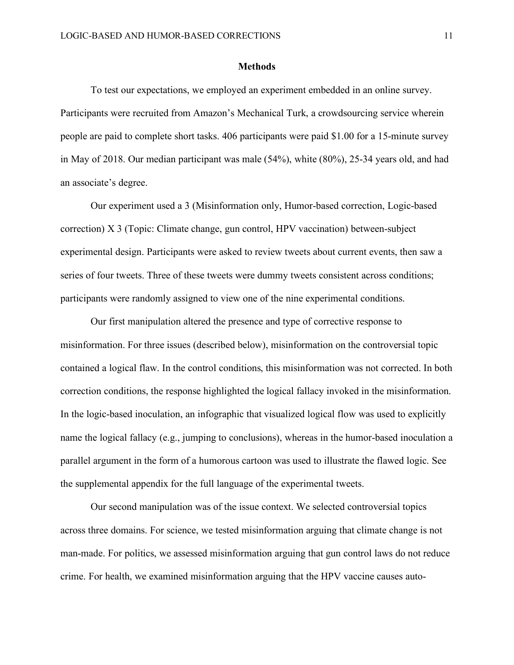#### **Methods**

To test our expectations, we employed an experiment embedded in an online survey. Participants were recruited from Amazon's Mechanical Turk, a crowdsourcing service wherein people are paid to complete short tasks. 406 participants were paid \$1.00 for a 15-minute survey in May of 2018. Our median participant was male (54%), white (80%), 25-34 years old, and had an associate's degree.

Our experiment used a 3 (Misinformation only, Humor-based correction, Logic-based correction) X 3 (Topic: Climate change, gun control, HPV vaccination) between-subject experimental design. Participants were asked to review tweets about current events, then saw a series of four tweets. Three of these tweets were dummy tweets consistent across conditions; participants were randomly assigned to view one of the nine experimental conditions.

Our first manipulation altered the presence and type of corrective response to misinformation. For three issues (described below), misinformation on the controversial topic contained a logical flaw. In the control conditions, this misinformation was not corrected. In both correction conditions, the response highlighted the logical fallacy invoked in the misinformation. In the logic-based inoculation, an infographic that visualized logical flow was used to explicitly name the logical fallacy (e.g., jumping to conclusions), whereas in the humor-based inoculation a parallel argument in the form of a humorous cartoon was used to illustrate the flawed logic. See the supplemental appendix for the full language of the experimental tweets.

Our second manipulation was of the issue context. We selected controversial topics across three domains. For science, we tested misinformation arguing that climate change is not man-made. For politics, we assessed misinformation arguing that gun control laws do not reduce crime. For health, we examined misinformation arguing that the HPV vaccine causes auto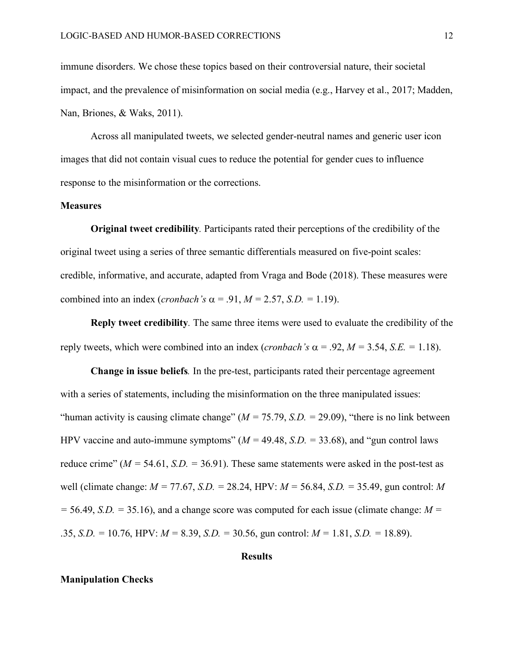immune disorders. We chose these topics based on their controversial nature, their societal impact, and the prevalence of misinformation on social media (e.g., Harvey et al., 2017; Madden, Nan, Briones, & Waks, 2011).

Across all manipulated tweets, we selected gender-neutral names and generic user icon images that did not contain visual cues to reduce the potential for gender cues to influence response to the misinformation or the corrections.

### **Measures**

**Original tweet credibility***.* Participants rated their perceptions of the credibility of the original tweet using a series of three semantic differentials measured on five-point scales: credible, informative, and accurate, adapted from Vraga and Bode (2018). These measures were combined into an index (*cronbach's*  $\alpha$  = .91, *M* = 2.57, *S.D.* = 1.19).

**Reply tweet credibility***.* The same three items were used to evaluate the credibility of the reply tweets, which were combined into an index (*cronbach's*  $\alpha$  = .92, *M* = 3.54, *S.E.* = 1.18).

**Change in issue beliefs***.* In the pre-test, participants rated their percentage agreement with a series of statements, including the misinformation on the three manipulated issues: "human activity is causing climate change"  $(M = 75.79, S.D. = 29.09)$ , "there is no link between HPV vaccine and auto-immune symptoms" ( $M = 49.48$ , *S.D.* = 33.68), and "gun control laws reduce crime" ( $M = 54.61$ ,  $S.D. = 36.91$ ). These same statements were asked in the post-test as well (climate change: *M =* 77.67, *S.D. =* 28.24, HPV: *M =* 56.84, *S.D. =* 35.49, gun control: *M*  $=$  56.49, *S.D.*  $=$  35.16), and a change score was computed for each issue (climate change:  $M =$ .35, *S.D.* = 10.76, HPV:  $M = 8.39$ , *S.D.* = 30.56, gun control:  $M = 1.81$ , *S.D.* = 18.89).

### **Results**

#### **Manipulation Checks**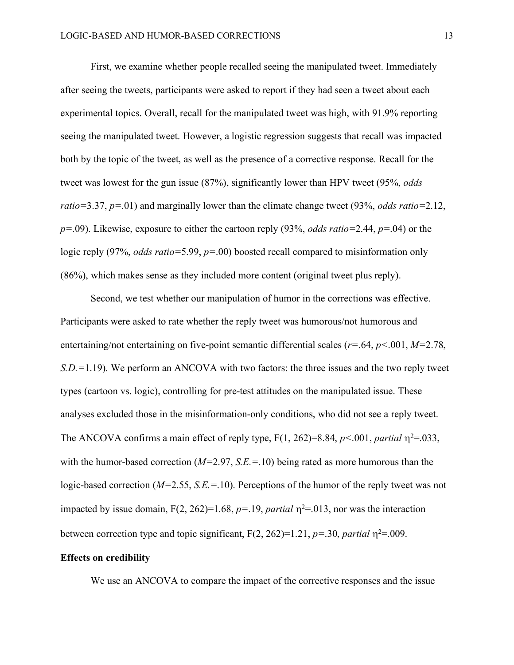First, we examine whether people recalled seeing the manipulated tweet. Immediately after seeing the tweets, participants were asked to report if they had seen a tweet about each experimental topics. Overall, recall for the manipulated tweet was high, with 91.9% reporting seeing the manipulated tweet. However, a logistic regression suggests that recall was impacted both by the topic of the tweet, as well as the presence of a corrective response. Recall for the tweet was lowest for the gun issue (87%), significantly lower than HPV tweet (95%, *odds ratio=*3.37, *p=*.01) and marginally lower than the climate change tweet (93%, *odds ratio=*2.12, *p=*.09). Likewise, exposure to either the cartoon reply (93%, *odds ratio=*2.44, *p=*.04) or the logic reply (97%, *odds ratio=*5.99, *p=*.00) boosted recall compared to misinformation only (86%), which makes sense as they included more content (original tweet plus reply).

Second, we test whether our manipulation of humor in the corrections was effective. Participants were asked to rate whether the reply tweet was humorous/not humorous and entertaining/not entertaining on five-point semantic differential scales (*r=*.64, *p<*.001, *M=*2.78, *S.D.=*1.19). We perform an ANCOVA with two factors: the three issues and the two reply tweet types (cartoon vs. logic), controlling for pre-test attitudes on the manipulated issue. These analyses excluded those in the misinformation-only conditions, who did not see a reply tweet. The ANCOVA confirms a main effect of reply type,  $F(1, 262)=8.84$ ,  $p<.001$ , *partial*  $\eta^2=0.033$ , with the humor-based correction (*M=*2.97, *S.E.=*.10) being rated as more humorous than the logic-based correction (*M=*2.55, *S.E.=*.10). Perceptions of the humor of the reply tweet was not impacted by issue domain,  $F(2, 262)=1.68$ ,  $p=.19$ , *partial*  $\eta^2=.013$ , nor was the interaction between correction type and topic significant,  $F(2, 262)=1.21$ ,  $p=.30$ , *partial*  $\eta^2=.009$ .

#### **Effects on credibility**

We use an ANCOVA to compare the impact of the corrective responses and the issue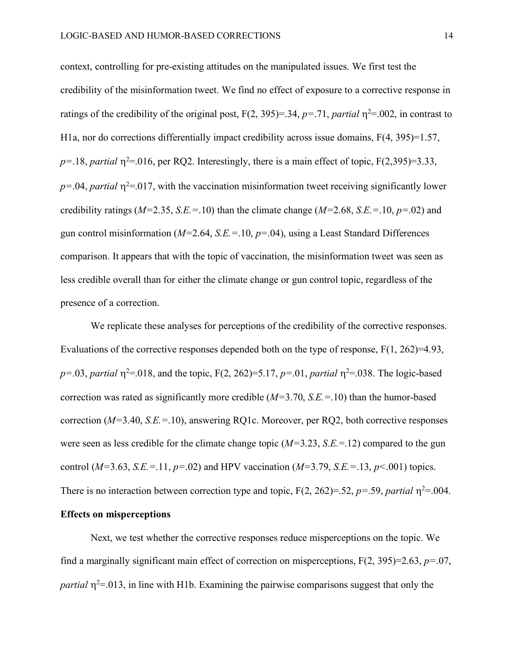context, controlling for pre-existing attitudes on the manipulated issues. We first test the credibility of the misinformation tweet. We find no effect of exposure to a corrective response in ratings of the credibility of the original post,  $F(2, 395)=.34$ ,  $p=.71$ , *partial*  $\eta^2=.002$ , in contrast to H1a, nor do corrections differentially impact credibility across issue domains, F(4, 395)=1.57,  $p=18$ , *partial*  $\eta^2=016$ , per RQ2. Interestingly, there is a main effect of topic, F(2,395)=3.33,  $p = 0.04$ , *partial*  $\eta^2 = 0.017$ , with the vaccination misinformation tweet receiving significantly lower credibility ratings (*M=*2.35, *S.E.=*.10) than the climate change (*M=*2.68, *S.E.=*.10, *p=*.02) and gun control misinformation (*M=*2.64, *S.E.=*.10, *p=*.04), using a Least Standard Differences comparison. It appears that with the topic of vaccination, the misinformation tweet was seen as less credible overall than for either the climate change or gun control topic, regardless of the presence of a correction.

We replicate these analyses for perceptions of the credibility of the corrective responses. Evaluations of the corrective responses depended both on the type of response, F(1, 262)=4.93,  $p = 0.03$ , *partial*  $\eta^2 = 0.018$ , and the topic, F(2, 262) = 5.17, *p*=.01, *partial*  $\eta^2 = 0.038$ . The logic-based correction was rated as significantly more credible (*M=*3.70, *S.E.=*.10) than the humor-based correction (*M=*3.40, *S.E.=*.10), answering RQ1c. Moreover, per RQ2, both corrective responses were seen as less credible for the climate change topic (*M=*3.23, *S.E.*=.12) compared to the gun control ( $M=3.63$ ,  $S.E.=11$ ,  $p=.02$ ) and HPV vaccination ( $M=3.79$ ,  $S.E.=13$ ,  $p<.001$ ) topics. There is no interaction between correction type and topic,  $F(2, 262)=0.52$ ,  $p=.59$ , *partial*  $\eta^2$ =.004.

# **Effects on misperceptions**

Next, we test whether the corrective responses reduce misperceptions on the topic. We find a marginally significant main effect of correction on misperceptions, F(2, 395)=2.63, *p=*.07, *partial*  $\eta^2$ =.013, in line with H1b. Examining the pairwise comparisons suggest that only the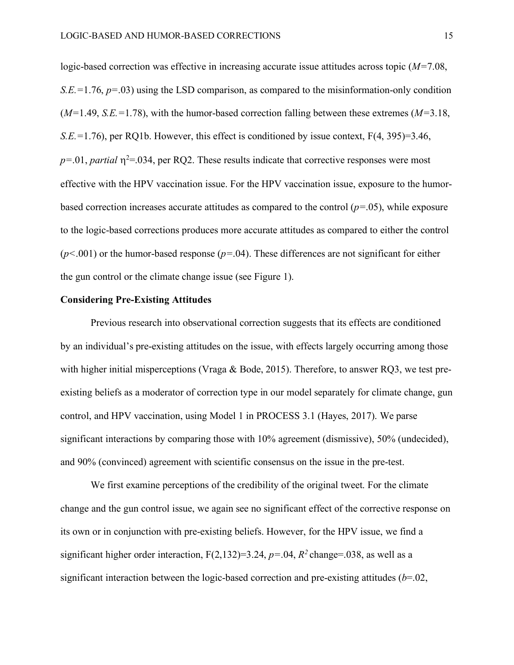logic-based correction was effective in increasing accurate issue attitudes across topic (*M=*7.08, *S.E.=*1.76, *p=*.03) using the LSD comparison, as compared to the misinformation-only condition (*M=*1.49, *S.E.=*1.78), with the humor-based correction falling between these extremes (*M=*3.18, *S.E.=*1.76), per RQ1b. However, this effect is conditioned by issue context, F(4, 395)=3.46,  $p=0.01$ , *partial*  $\eta^2=0.034$ , per RQ2. These results indicate that corrective responses were most effective with the HPV vaccination issue. For the HPV vaccination issue, exposure to the humorbased correction increases accurate attitudes as compared to the control (*p=*.05), while exposure to the logic-based corrections produces more accurate attitudes as compared to either the control (*p<*.001) or the humor-based response (*p=*.04). These differences are not significant for either the gun control or the climate change issue (see Figure 1).

### **Considering Pre-Existing Attitudes**

Previous research into observational correction suggests that its effects are conditioned by an individual's pre-existing attitudes on the issue, with effects largely occurring among those with higher initial misperceptions (Vraga & Bode, 2015). Therefore, to answer RQ3, we test preexisting beliefs as a moderator of correction type in our model separately for climate change, gun control, and HPV vaccination, using Model 1 in PROCESS 3.1 (Hayes, 2017). We parse significant interactions by comparing those with 10% agreement (dismissive), 50% (undecided), and 90% (convinced) agreement with scientific consensus on the issue in the pre-test.

We first examine perceptions of the credibility of the original tweet. For the climate change and the gun control issue, we again see no significant effect of the corrective response on its own or in conjunction with pre-existing beliefs. However, for the HPV issue, we find a significant higher order interaction,  $F(2,132)=3.24$ ,  $p=.04$ ,  $R^2$  change=.038, as well as a significant interaction between the logic-based correction and pre-existing attitudes (*b*=.02,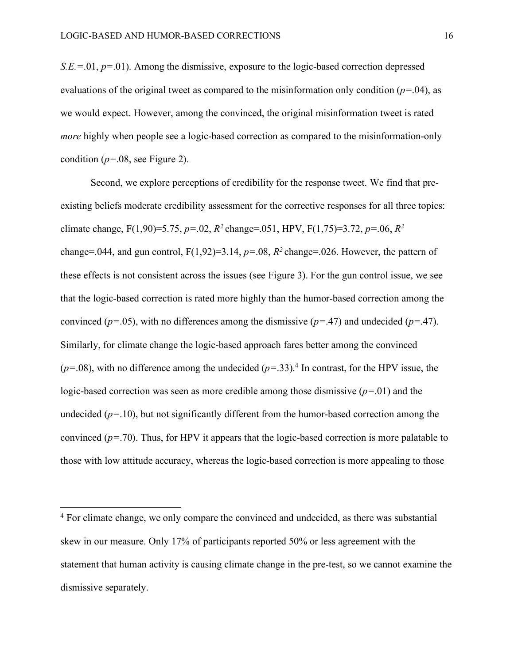l

 $S.E = 01, p = 01$ . Among the dismissive, exposure to the logic-based correction depressed evaluations of the original tweet as compared to the misinformation only condition (*p=*.04), as we would expect. However, among the convinced, the original misinformation tweet is rated *more* highly when people see a logic-based correction as compared to the misinformation-only condition (*p=*.08, see Figure 2).

Second, we explore perceptions of credibility for the response tweet. We find that preexisting beliefs moderate credibility assessment for the corrective responses for all three topics: climate change, F(1,90)=5.75, *p=*.02, *R2* change=.051, HPV, F(1,75)=3.72, *p=*.06, *R2*  change=.044, and gun control,  $F(1,92)=3.14$ ,  $p=.08$ ,  $R^2$  change=.026. However, the pattern of these effects is not consistent across the issues (see Figure 3). For the gun control issue, we see that the logic-based correction is rated more highly than the humor-based correction among the convinced (*p=*.05), with no differences among the dismissive (*p=*.47) and undecided (*p=*.47). Similarly, for climate change the logic-based approach fares better among the convinced  $(p=0.08)$ , with no difference among the undecided  $(p=.33)$ .<sup>4</sup> In contrast, for the HPV issue, the logic-based correction was seen as more credible among those dismissive (*p=*.01) and the undecided ( $p=10$ ), but not significantly different from the humor-based correction among the convinced (*p=*.70). Thus, for HPV it appears that the logic-based correction is more palatable to those with low attitude accuracy, whereas the logic-based correction is more appealing to those

<sup>4</sup> For climate change, we only compare the convinced and undecided, as there was substantial skew in our measure. Only 17% of participants reported 50% or less agreement with the statement that human activity is causing climate change in the pre-test, so we cannot examine the dismissive separately.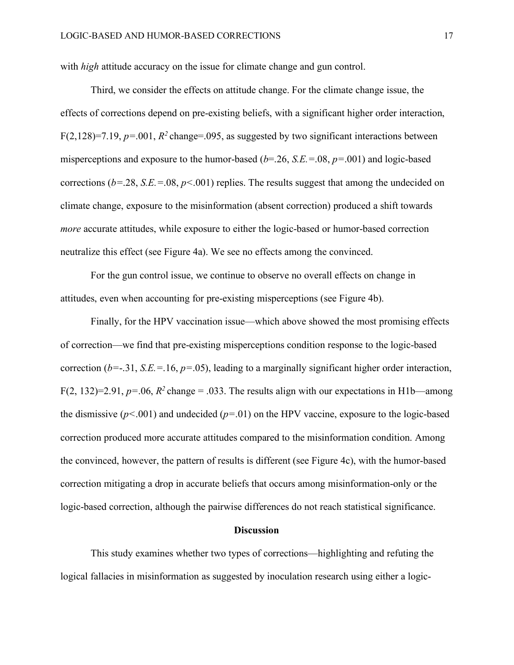with *high* attitude accuracy on the issue for climate change and gun control.

Third, we consider the effects on attitude change. For the climate change issue, the effects of corrections depend on pre-existing beliefs, with a significant higher order interaction, F(2,128)=7.19,  $p=.001$ ,  $R^2$  change=.095, as suggested by two significant interactions between misperceptions and exposure to the humor-based (*b*=.26, *S.E.=*.08, *p=*.001) and logic-based corrections  $(b=28, S.E = 08, p<001)$  replies. The results suggest that among the undecided on climate change, exposure to the misinformation (absent correction) produced a shift towards *more* accurate attitudes, while exposure to either the logic-based or humor-based correction neutralize this effect (see Figure 4a). We see no effects among the convinced.

For the gun control issue, we continue to observe no overall effects on change in attitudes, even when accounting for pre-existing misperceptions (see Figure 4b).

Finally, for the HPV vaccination issue—which above showed the most promising effects of correction—we find that pre-existing misperceptions condition response to the logic-based correction ( $b=-.31$ , *S.E.*=.16,  $p=.05$ ), leading to a marginally significant higher order interaction, F(2, 132)=2.91,  $p=.06$ ,  $R^2$  change = .033. The results align with our expectations in H1b—among the dismissive (*p<*.001) and undecided (*p=*.01) on the HPV vaccine, exposure to the logic-based correction produced more accurate attitudes compared to the misinformation condition. Among the convinced, however, the pattern of results is different (see Figure 4c), with the humor-based correction mitigating a drop in accurate beliefs that occurs among misinformation-only or the logic-based correction, although the pairwise differences do not reach statistical significance.

#### **Discussion**

This study examines whether two types of corrections—highlighting and refuting the logical fallacies in misinformation as suggested by inoculation research using either a logic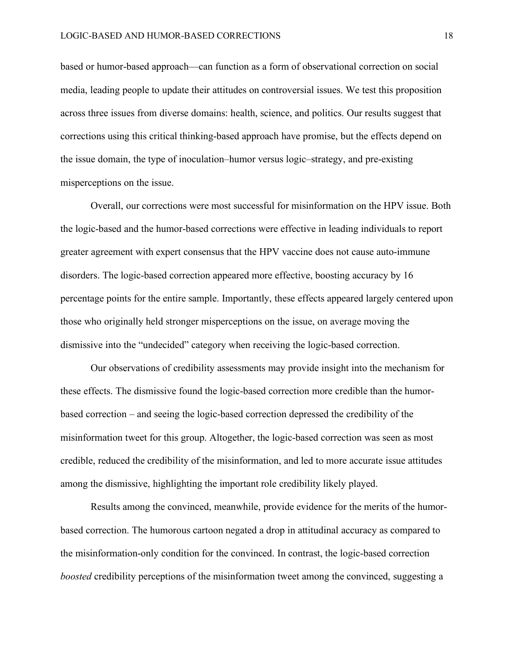based or humor-based approach—can function as a form of observational correction on social media, leading people to update their attitudes on controversial issues. We test this proposition across three issues from diverse domains: health, science, and politics. Our results suggest that corrections using this critical thinking-based approach have promise, but the effects depend on the issue domain, the type of inoculation–humor versus logic–strategy, and pre-existing misperceptions on the issue.

Overall, our corrections were most successful for misinformation on the HPV issue. Both the logic-based and the humor-based corrections were effective in leading individuals to report greater agreement with expert consensus that the HPV vaccine does not cause auto-immune disorders. The logic-based correction appeared more effective, boosting accuracy by 16 percentage points for the entire sample. Importantly, these effects appeared largely centered upon those who originally held stronger misperceptions on the issue, on average moving the dismissive into the "undecided" category when receiving the logic-based correction.

Our observations of credibility assessments may provide insight into the mechanism for these effects. The dismissive found the logic-based correction more credible than the humorbased correction – and seeing the logic-based correction depressed the credibility of the misinformation tweet for this group. Altogether, the logic-based correction was seen as most credible, reduced the credibility of the misinformation, and led to more accurate issue attitudes among the dismissive, highlighting the important role credibility likely played.

Results among the convinced, meanwhile, provide evidence for the merits of the humorbased correction. The humorous cartoon negated a drop in attitudinal accuracy as compared to the misinformation-only condition for the convinced. In contrast, the logic-based correction *boosted* credibility perceptions of the misinformation tweet among the convinced, suggesting a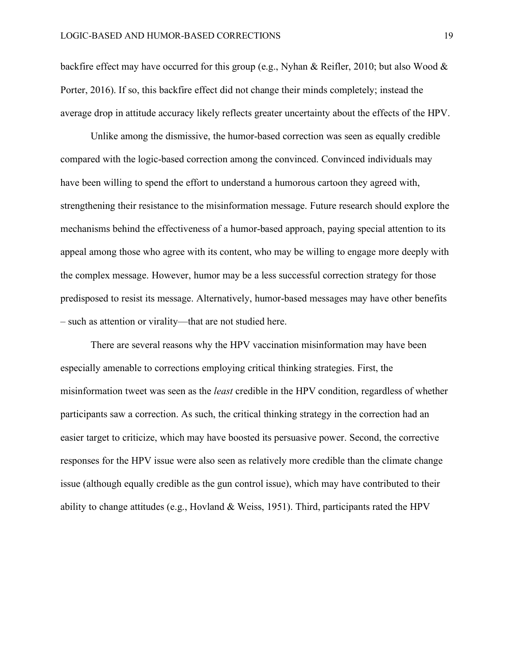backfire effect may have occurred for this group (e.g., Nyhan & Reifler, 2010; but also Wood & Porter, 2016). If so, this backfire effect did not change their minds completely; instead the average drop in attitude accuracy likely reflects greater uncertainty about the effects of the HPV.

Unlike among the dismissive, the humor-based correction was seen as equally credible compared with the logic-based correction among the convinced. Convinced individuals may have been willing to spend the effort to understand a humorous cartoon they agreed with, strengthening their resistance to the misinformation message. Future research should explore the mechanisms behind the effectiveness of a humor-based approach, paying special attention to its appeal among those who agree with its content, who may be willing to engage more deeply with the complex message. However, humor may be a less successful correction strategy for those predisposed to resist its message. Alternatively, humor-based messages may have other benefits – such as attention or virality—that are not studied here.

There are several reasons why the HPV vaccination misinformation may have been especially amenable to corrections employing critical thinking strategies. First, the misinformation tweet was seen as the *least* credible in the HPV condition, regardless of whether participants saw a correction. As such, the critical thinking strategy in the correction had an easier target to criticize, which may have boosted its persuasive power. Second, the corrective responses for the HPV issue were also seen as relatively more credible than the climate change issue (although equally credible as the gun control issue), which may have contributed to their ability to change attitudes (e.g., Hovland & Weiss, 1951). Third, participants rated the HPV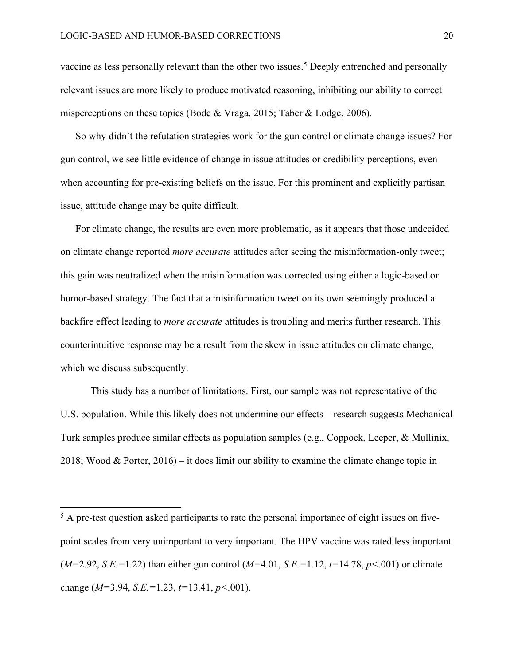l

vaccine as less personally relevant than the other two issues.<sup>5</sup> Deeply entrenched and personally relevant issues are more likely to produce motivated reasoning, inhibiting our ability to correct misperceptions on these topics (Bode & Vraga, 2015; Taber & Lodge, 2006).

So why didn't the refutation strategies work for the gun control or climate change issues? For gun control, we see little evidence of change in issue attitudes or credibility perceptions, even when accounting for pre-existing beliefs on the issue. For this prominent and explicitly partisan issue, attitude change may be quite difficult.

For climate change, the results are even more problematic, as it appears that those undecided on climate change reported *more accurate* attitudes after seeing the misinformation-only tweet; this gain was neutralized when the misinformation was corrected using either a logic-based or humor-based strategy. The fact that a misinformation tweet on its own seemingly produced a backfire effect leading to *more accurate* attitudes is troubling and merits further research. This counterintuitive response may be a result from the skew in issue attitudes on climate change, which we discuss subsequently.

This study has a number of limitations. First, our sample was not representative of the U.S. population. While this likely does not undermine our effects – research suggests Mechanical Turk samples produce similar effects as population samples (e.g., Coppock, Leeper, & Mullinix, 2018; Wood & Porter,  $2016$  – it does limit our ability to examine the climate change topic in

 $5$  A pre-test question asked participants to rate the personal importance of eight issues on fivepoint scales from very unimportant to very important. The HPV vaccine was rated less important (*M=*2.92, *S.E.=*1.22) than either gun control (*M=*4.01, *S.E.=*1.12, *t=*14.78, *p<*.001) or climate change (*M=*3.94, *S.E.=*1.23, *t=*13.41, *p<*.001).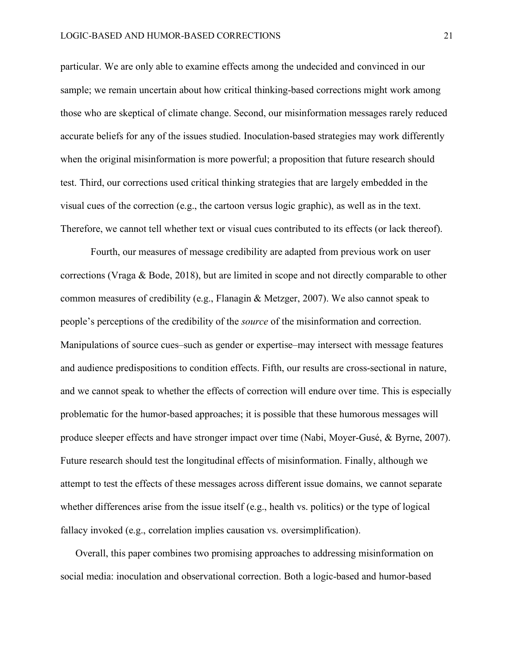particular. We are only able to examine effects among the undecided and convinced in our sample; we remain uncertain about how critical thinking-based corrections might work among those who are skeptical of climate change. Second, our misinformation messages rarely reduced accurate beliefs for any of the issues studied. Inoculation-based strategies may work differently when the original misinformation is more powerful; a proposition that future research should test. Third, our corrections used critical thinking strategies that are largely embedded in the visual cues of the correction (e.g., the cartoon versus logic graphic), as well as in the text. Therefore, we cannot tell whether text or visual cues contributed to its effects (or lack thereof).

Fourth, our measures of message credibility are adapted from previous work on user corrections (Vraga & Bode, 2018), but are limited in scope and not directly comparable to other common measures of credibility (e.g., Flanagin & Metzger, 2007). We also cannot speak to people's perceptions of the credibility of the *source* of the misinformation and correction. Manipulations of source cues–such as gender or expertise–may intersect with message features and audience predispositions to condition effects. Fifth, our results are cross-sectional in nature, and we cannot speak to whether the effects of correction will endure over time. This is especially problematic for the humor-based approaches; it is possible that these humorous messages will produce sleeper effects and have stronger impact over time (Nabi, Moyer-Gusé, & Byrne, 2007). Future research should test the longitudinal effects of misinformation. Finally, although we attempt to test the effects of these messages across different issue domains, we cannot separate whether differences arise from the issue itself (e.g., health vs. politics) or the type of logical fallacy invoked (e.g., correlation implies causation vs. oversimplification).

Overall, this paper combines two promising approaches to addressing misinformation on social media: inoculation and observational correction. Both a logic-based and humor-based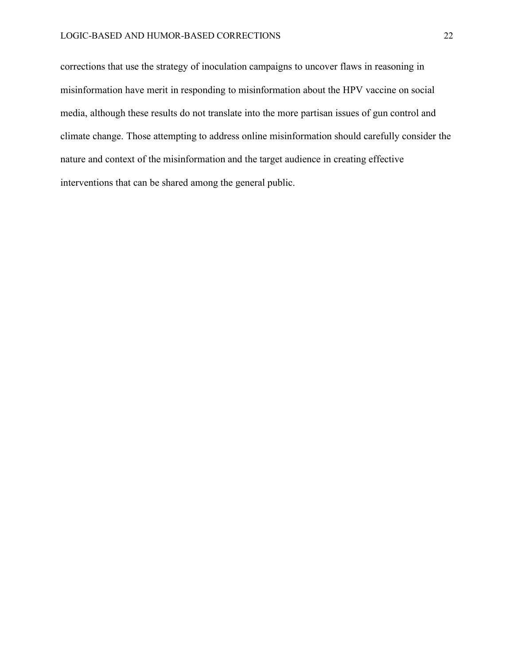corrections that use the strategy of inoculation campaigns to uncover flaws in reasoning in misinformation have merit in responding to misinformation about the HPV vaccine on social media, although these results do not translate into the more partisan issues of gun control and climate change. Those attempting to address online misinformation should carefully consider the nature and context of the misinformation and the target audience in creating effective interventions that can be shared among the general public.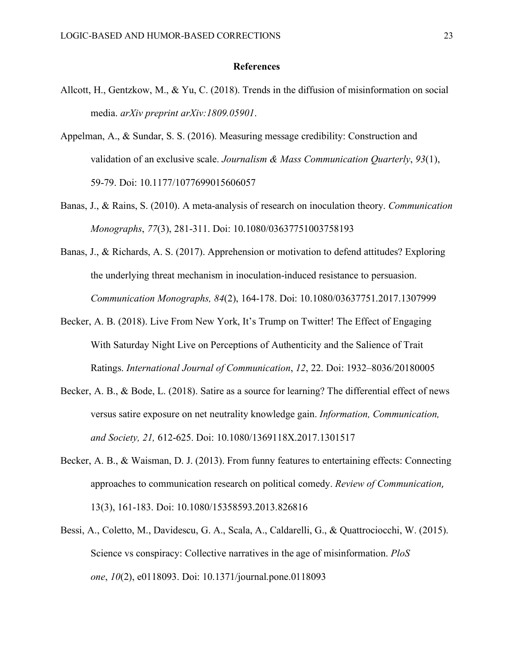#### **References**

- Allcott, H., Gentzkow, M., & Yu, C. (2018). Trends in the diffusion of misinformation on social media. *arXiv preprint arXiv:1809.05901*.
- Appelman, A., & Sundar, S. S. (2016). Measuring message credibility: Construction and validation of an exclusive scale. *Journalism & Mass Communication Quarterly*, *93*(1), 59-79. Doi: 10.1177/1077699015606057
- Banas, J., & Rains, S. (2010). A meta-analysis of research on inoculation theory. *Communication Monographs*, *77*(3), 281-311. Doi: 10.1080/03637751003758193
- Banas, J., & Richards, A. S. (2017). Apprehension or motivation to defend attitudes? Exploring the underlying threat mechanism in inoculation-induced resistance to persuasion. *Communication Monographs, 84*(2), 164-178. Doi: 10.1080/03637751.2017.1307999
- Becker, A. B. (2018). Live From New York, It's Trump on Twitter! The Effect of Engaging With Saturday Night Live on Perceptions of Authenticity and the Salience of Trait Ratings. *International Journal of Communication*, *12*, 22. Doi: 1932–8036/20180005
- Becker, A. B., & Bode, L. (2018). Satire as a source for learning? The differential effect of news versus satire exposure on net neutrality knowledge gain. *Information, Communication, and Society, 21,* 612-625. Doi: 10.1080/1369118X.2017.1301517
- Becker, A. B., & Waisman, D. J. (2013). From funny features to entertaining effects: Connecting approaches to communication research on political comedy. *Review of Communication*, 13(3), 161-183. Doi: 10.1080/15358593.2013.826816
- Bessi, A., Coletto, M., Davidescu, G. A., Scala, A., Caldarelli, G., & Quattrociocchi, W. (2015). Science vs conspiracy: Collective narratives in the age of misinformation. *PloS one*, *10*(2), e0118093. Doi: 10.1371/journal.pone.0118093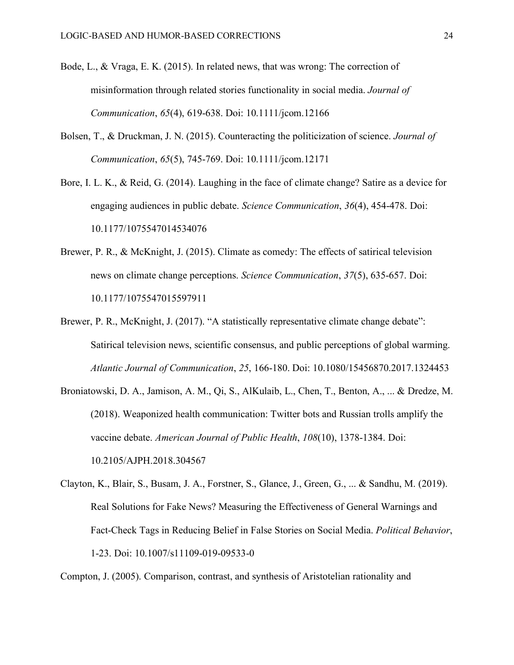- Bode, L., & Vraga, E. K. (2015). In related news, that was wrong: The correction of misinformation through related stories functionality in social media. *Journal of Communication*, *65*(4), 619-638. Doi: 10.1111/jcom.12166
- Bolsen, T., & Druckman, J. N. (2015). Counteracting the politicization of science. *Journal of Communication*, *65*(5), 745-769. Doi: 10.1111/jcom.12171
- Bore, I. L. K., & Reid, G. (2014). Laughing in the face of climate change? Satire as a device for engaging audiences in public debate. *Science Communication*, *36*(4), 454-478. Doi: 10.1177/1075547014534076
- Brewer, P. R., & McKnight, J. (2015). Climate as comedy: The effects of satirical television news on climate change perceptions. *Science Communication*, *37*(5), 635-657. Doi: 10.1177/1075547015597911
- Brewer, P. R., McKnight, J. (2017). "A statistically representative climate change debate": Satirical television news, scientific consensus, and public perceptions of global warming. *Atlantic Journal of Communication*, *25*, 166-180. Doi: 10.1080/15456870.2017.1324453
- Broniatowski, D. A., Jamison, A. M., Qi, S., AlKulaib, L., Chen, T., Benton, A., ... & Dredze, M. (2018). Weaponized health communication: Twitter bots and Russian trolls amplify the vaccine debate. *American Journal of Public Health*, *108*(10), 1378-1384. Doi: 10.2105/AJPH.2018.304567
- Clayton, K., Blair, S., Busam, J. A., Forstner, S., Glance, J., Green, G., ... & Sandhu, M. (2019). Real Solutions for Fake News? Measuring the Effectiveness of General Warnings and Fact-Check Tags in Reducing Belief in False Stories on Social Media. *Political Behavior*, 1-23. Doi: 10.1007/s11109-019-09533-0

Compton, J. (2005). Comparison, contrast, and synthesis of Aristotelian rationality and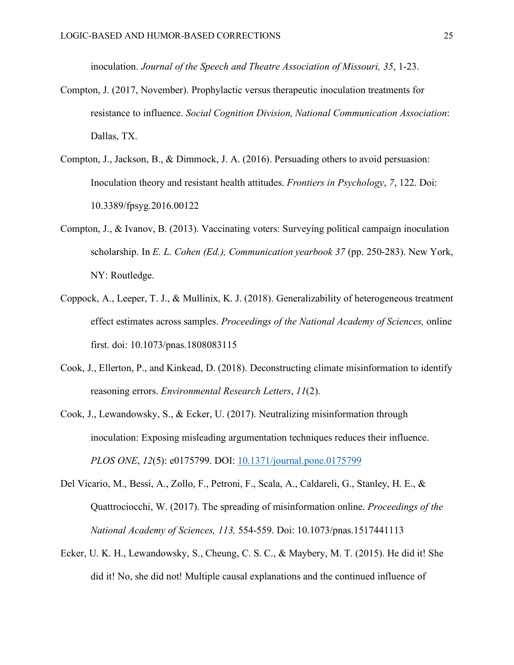inoculation. *Journal of the Speech and Theatre Association of Missouri, 35*, 1-23.

- Compton, J. (2017, November). Prophylactic versus therapeutic inoculation treatments for resistance to influence. *Social Cognition Division, National Communication Association*: Dallas, TX.
- Compton, J., Jackson, B., & Dimmock, J. A. (2016). Persuading others to avoid persuasion: Inoculation theory and resistant health attitudes. *Frontiers in Psychology*, *7*, 122. Doi: 10.3389/fpsyg.2016.00122
- Compton, J., & Ivanov, B. (2013). Vaccinating voters: Surveying political campaign inoculation scholarship. In *E. L. Cohen (Ed.), Communication yearbook 37* (pp. 250-283). New York, NY: Routledge.
- Coppock, A., Leeper, T. J., & Mullinix, K. J. (2018). Generalizability of heterogeneous treatment effect estimates across samples. *Proceedings of the National Academy of Sciences,* online first. doi: 10.1073/pnas.1808083115
- Cook, J., Ellerton, P., and Kinkead, D. (2018). Deconstructing climate misinformation to identify reasoning errors. *Environmental Research Letters*, *11*(2).
- Cook, J., Lewandowsky, S., & Ecker, U. (2017). Neutralizing misinformation through inoculation: Exposing misleading argumentation techniques reduces their influence. *PLOS ONE*, *12*(5): e0175799. DOI: 10.1371/journal.pone.0175799
- Del Vicario, M., Bessi, A., Zollo, F., Petroni, F., Scala, A., Caldareli, G., Stanley, H. E., & Quattrociocchi, W. (2017). The spreading of misinformation online. *Proceedings of the National Academy of Sciences, 113,* 554-559. Doi: 10.1073/pnas.1517441113
- Ecker, U. K. H., Lewandowsky, S., Cheung, C. S. C., & Maybery, M. T. (2015). He did it! She did it! No, she did not! Multiple causal explanations and the continued influence of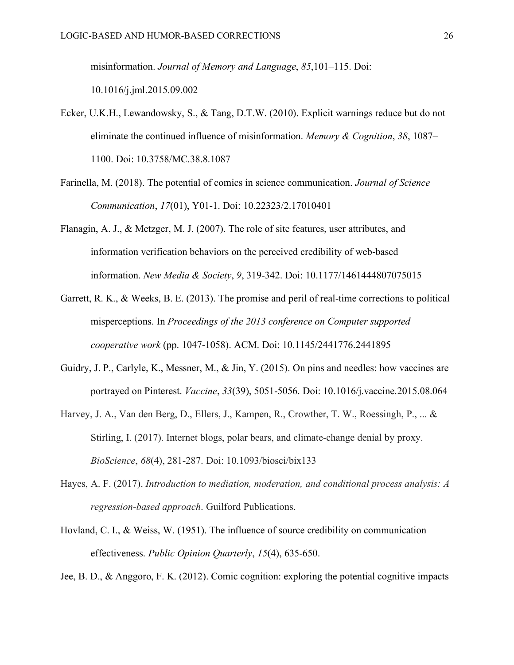misinformation. *Journal of Memory and Language*, *85*,101–115. Doi:

10.1016/j.jml.2015.09.002

- Ecker, U.K.H., Lewandowsky, S., & Tang, D.T.W. (2010). Explicit warnings reduce but do not eliminate the continued influence of misinformation. *Memory & Cognition*, *38*, 1087– 1100. Doi: 10.3758/MC.38.8.1087
- Farinella, M. (2018). The potential of comics in science communication. *Journal of Science Communication*, *17*(01), Y01-1. Doi: 10.22323/2.17010401
- Flanagin, A. J., & Metzger, M. J. (2007). The role of site features, user attributes, and information verification behaviors on the perceived credibility of web-based information. *New Media & Society*, *9*, 319-342. Doi: 10.1177/1461444807075015
- Garrett, R. K., & Weeks, B. E. (2013). The promise and peril of real-time corrections to political misperceptions. In *Proceedings of the 2013 conference on Computer supported cooperative work* (pp. 1047-1058). ACM. Doi: 10.1145/2441776.2441895
- Guidry, J. P., Carlyle, K., Messner, M., & Jin, Y. (2015). On pins and needles: how vaccines are portrayed on Pinterest. *Vaccine*, *33*(39), 5051-5056. Doi: 10.1016/j.vaccine.2015.08.064
- Harvey, J. A., Van den Berg, D., Ellers, J., Kampen, R., Crowther, T. W., Roessingh, P., ... & Stirling, I. (2017). Internet blogs, polar bears, and climate-change denial by proxy. *BioScience*, *68*(4), 281-287. Doi: 10.1093/biosci/bix133
- Hayes, A. F. (2017). *Introduction to mediation, moderation, and conditional process analysis: A regression-based approach*. Guilford Publications.
- Hovland, C. I., & Weiss, W. (1951). The influence of source credibility on communication effectiveness. *Public Opinion Quarterly*, *15*(4), 635-650.

Jee, B. D., & Anggoro, F. K. (2012). Comic cognition: exploring the potential cognitive impacts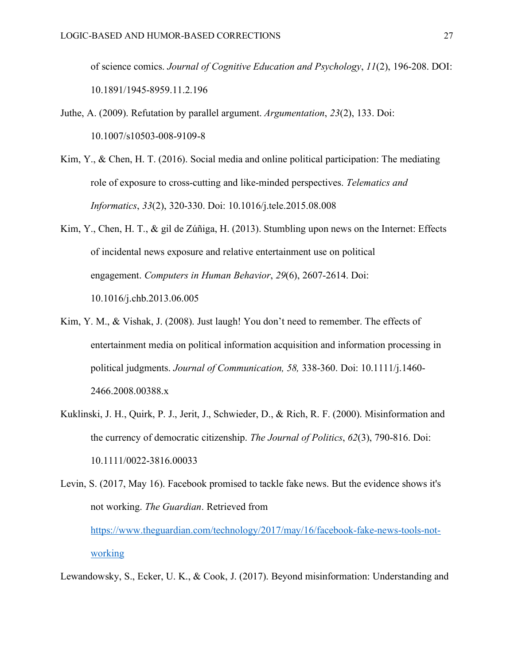of science comics. *Journal of Cognitive Education and Psychology*, *11*(2), 196-208. DOI: 10.1891/1945-8959.11.2.196

- Juthe, A. (2009). Refutation by parallel argument. *Argumentation*, *23*(2), 133. Doi: 10.1007/s10503-008-9109-8
- Kim, Y., & Chen, H. T. (2016). Social media and online political participation: The mediating role of exposure to cross-cutting and like-minded perspectives. *Telematics and Informatics*, *33*(2), 320-330. Doi: 10.1016/j.tele.2015.08.008
- Kim, Y., Chen, H. T., & gil de Zúñiga, H. (2013). Stumbling upon news on the Internet: Effects of incidental news exposure and relative entertainment use on political engagement. *Computers in Human Behavior*, *29*(6), 2607-2614. Doi: 10.1016/j.chb.2013.06.005
- Kim, Y. M., & Vishak, J. (2008). Just laugh! You don't need to remember. The effects of entertainment media on political information acquisition and information processing in political judgments. *Journal of Communication, 58,* 338-360. Doi: 10.1111/j.1460- 2466.2008.00388.x
- Kuklinski, J. H., Quirk, P. J., Jerit, J., Schwieder, D., & Rich, R. F. (2000). Misinformation and the currency of democratic citizenship. *The Journal of Politics*, *62*(3), 790-816. Doi: 10.1111/0022-3816.00033

```
Levin, S. (2017, May 16). Facebook promised to tackle fake news. But the evidence shows it's 
not working. The Guardian. Retrieved from 
https://www.theguardian.com/technology/2017/may/16/facebook-fake-news-tools-not-
working
```
Lewandowsky, S., Ecker, U. K., & Cook, J. (2017). Beyond misinformation: Understanding and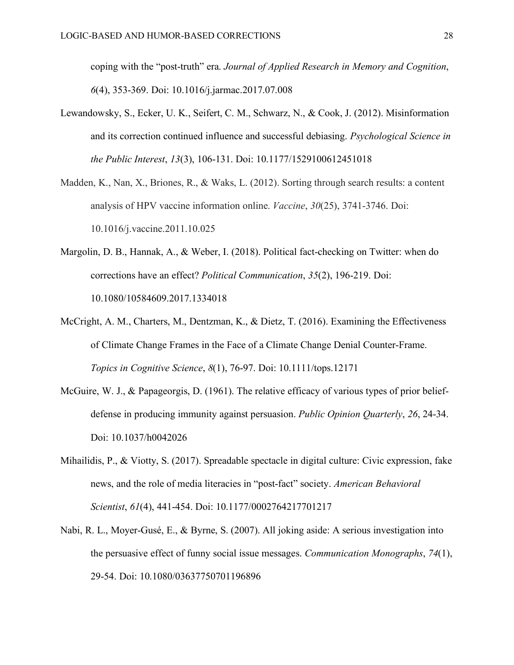coping with the "post-truth" era. *Journal of Applied Research in Memory and Cognition*, *6*(4), 353-369. Doi: 10.1016/j.jarmac.2017.07.008

- Lewandowsky, S., Ecker, U. K., Seifert, C. M., Schwarz, N., & Cook, J. (2012). Misinformation and its correction continued influence and successful debiasing. *Psychological Science in the Public Interest*, *13*(3), 106-131. Doi: 10.1177/1529100612451018
- Madden, K., Nan, X., Briones, R., & Waks, L. (2012). Sorting through search results: a content analysis of HPV vaccine information online. *Vaccine*, *30*(25), 3741-3746. Doi: 10.1016/j.vaccine.2011.10.025
- Margolin, D. B., Hannak, A., & Weber, I. (2018). Political fact-checking on Twitter: when do corrections have an effect? *Political Communication*, *35*(2), 196-219. Doi: 10.1080/10584609.2017.1334018
- McCright, A. M., Charters, M., Dentzman, K., & Dietz, T. (2016). Examining the Effectiveness of Climate Change Frames in the Face of a Climate Change Denial Counter-Frame. *Topics in Cognitive Science*, *8*(1), 76-97. Doi: 10.1111/tops.12171
- McGuire, W. J., & Papageorgis, D. (1961). The relative efficacy of various types of prior beliefdefense in producing immunity against persuasion. *Public Opinion Quarterly*, *26*, 24-34. Doi: 10.1037/h0042026
- Mihailidis, P., & Viotty, S. (2017). Spreadable spectacle in digital culture: Civic expression, fake news, and the role of media literacies in "post-fact" society. *American Behavioral Scientist*, *61*(4), 441-454. Doi: 10.1177/0002764217701217
- Nabi, R. L., Moyer-Gusé, E., & Byrne, S. (2007). All joking aside: A serious investigation into the persuasive effect of funny social issue messages. *Communication Monographs*, *74*(1), 29-54. Doi: 10.1080/03637750701196896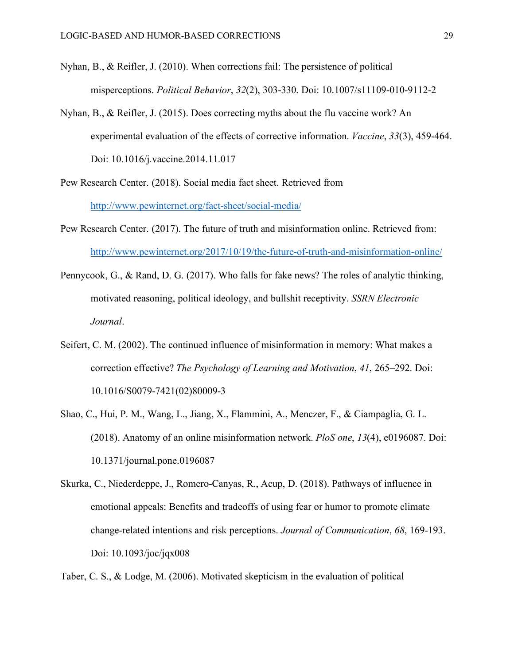- Nyhan, B., & Reifler, J. (2010). When corrections fail: The persistence of political misperceptions. *Political Behavior*, *32*(2), 303-330. Doi: 10.1007/s11109-010-9112-2
- Nyhan, B., & Reifler, J. (2015). Does correcting myths about the flu vaccine work? An experimental evaluation of the effects of corrective information. *Vaccine*, *33*(3), 459-464. Doi: 10.1016/j.vaccine.2014.11.017
- Pew Research Center. (2018). Social media fact sheet. Retrieved from http://www.pewinternet.org/fact-sheet/social-media/
- Pew Research Center. (2017). The future of truth and misinformation online. Retrieved from: http://www.pewinternet.org/2017/10/19/the-future-of-truth-and-misinformation-online/
- Pennycook, G., & Rand, D. G. (2017). Who falls for fake news? The roles of analytic thinking, motivated reasoning, political ideology, and bullshit receptivity. *SSRN Electronic Journal*.
- Seifert, C. M. (2002). The continued influence of misinformation in memory: What makes a correction effective? *The Psychology of Learning and Motivation*, *41*, 265–292. Doi: 10.1016/S0079-7421(02)80009-3
- Shao, C., Hui, P. M., Wang, L., Jiang, X., Flammini, A., Menczer, F., & Ciampaglia, G. L. (2018). Anatomy of an online misinformation network. *PloS one*, *13*(4), e0196087. Doi: 10.1371/journal.pone.0196087
- Skurka, C., Niederdeppe, J., Romero-Canyas, R., Acup, D. (2018). Pathways of influence in emotional appeals: Benefits and tradeoffs of using fear or humor to promote climate change-related intentions and risk perceptions. *Journal of Communication*, *68*, 169-193. Doi: 10.1093/joc/jqx008

Taber, C. S., & Lodge, M. (2006). Motivated skepticism in the evaluation of political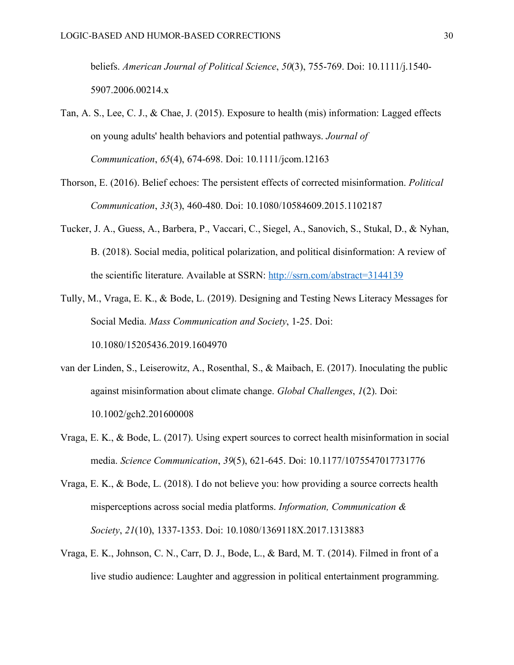beliefs. *American Journal of Political Science*, *50*(3), 755-769. Doi: 10.1111/j.1540- 5907.2006.00214.x

- Tan, A. S., Lee, C. J., & Chae, J. (2015). Exposure to health (mis) information: Lagged effects on young adults' health behaviors and potential pathways. *Journal of Communication*, *65*(4), 674-698. Doi: 10.1111/jcom.12163
- Thorson, E. (2016). Belief echoes: The persistent effects of corrected misinformation. *Political Communication*, *33*(3), 460-480. Doi: 10.1080/10584609.2015.1102187
- Tucker, J. A., Guess, A., Barbera, P., Vaccari, C., Siegel, A., Sanovich, S., Stukal, D., & Nyhan, B. (2018). Social media, political polarization, and political disinformation: A review of the scientific literature. Available at SSRN: http://ssrn.com/abstract=3144139
- Tully, M., Vraga, E. K., & Bode, L. (2019). Designing and Testing News Literacy Messages for Social Media. *Mass Communication and Society*, 1-25. Doi:

10.1080/15205436.2019.1604970

- van der Linden, S., Leiserowitz, A., Rosenthal, S., & Maibach, E. (2017). Inoculating the public against misinformation about climate change. *Global Challenges*, *1*(2). Doi: 10.1002/gch2.201600008
- Vraga, E. K., & Bode, L. (2017). Using expert sources to correct health misinformation in social media. *Science Communication*, *39*(5), 621-645. Doi: 10.1177/1075547017731776
- Vraga, E. K., & Bode, L. (2018). I do not believe you: how providing a source corrects health misperceptions across social media platforms. *Information, Communication & Society*, *21*(10), 1337-1353. Doi: 10.1080/1369118X.2017.1313883
- Vraga, E. K., Johnson, C. N., Carr, D. J., Bode, L., & Bard, M. T. (2014). Filmed in front of a live studio audience: Laughter and aggression in political entertainment programming.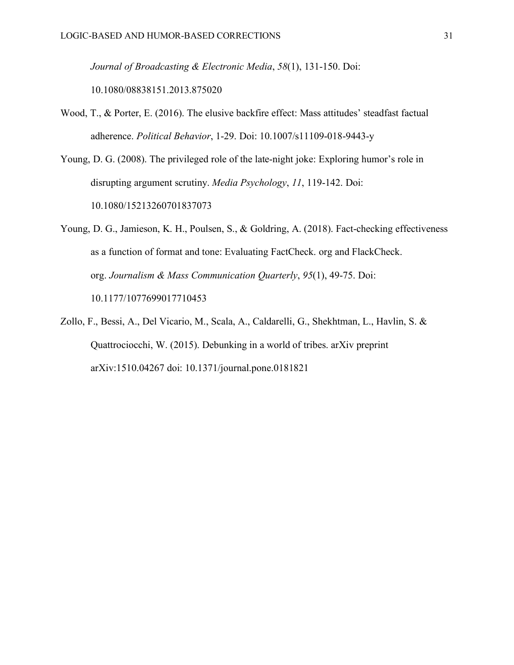*Journal of Broadcasting & Electronic Media*, *58*(1), 131-150. Doi:

10.1080/08838151.2013.875020

- Wood, T., & Porter, E. (2016). The elusive backfire effect: Mass attitudes' steadfast factual adherence. *Political Behavior*, 1-29. Doi: 10.1007/s11109-018-9443-y
- Young, D. G. (2008). The privileged role of the late-night joke: Exploring humor's role in disrupting argument scrutiny. *Media Psychology*, *11*, 119-142. Doi: 10.1080/15213260701837073
- Young, D. G., Jamieson, K. H., Poulsen, S., & Goldring, A. (2018). Fact-checking effectiveness as a function of format and tone: Evaluating FactCheck. org and FlackCheck. org. *Journalism & Mass Communication Quarterly*, *95*(1), 49-75. Doi: 10.1177/1077699017710453
- Zollo, F., Bessi, A., Del Vicario, M., Scala, A., Caldarelli, G., Shekhtman, L., Havlin, S. & Quattrociocchi, W. (2015). Debunking in a world of tribes. arXiv preprint arXiv:1510.04267 doi: 10.1371/journal.pone.0181821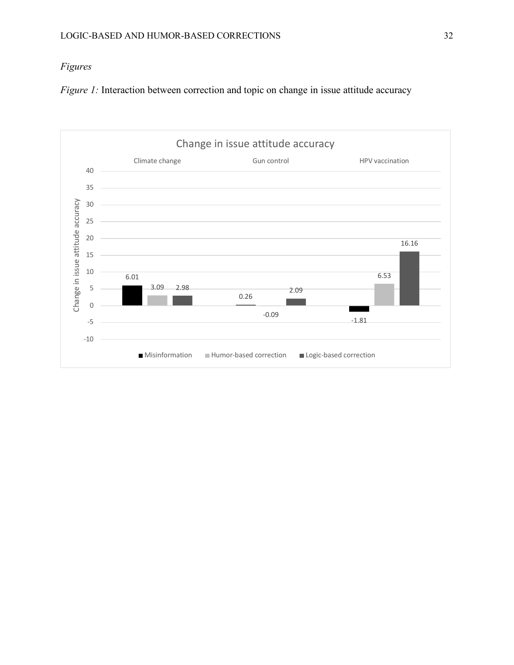# *Figures*

*Figure 1:* Interaction between correction and topic on change in issue attitude accuracy

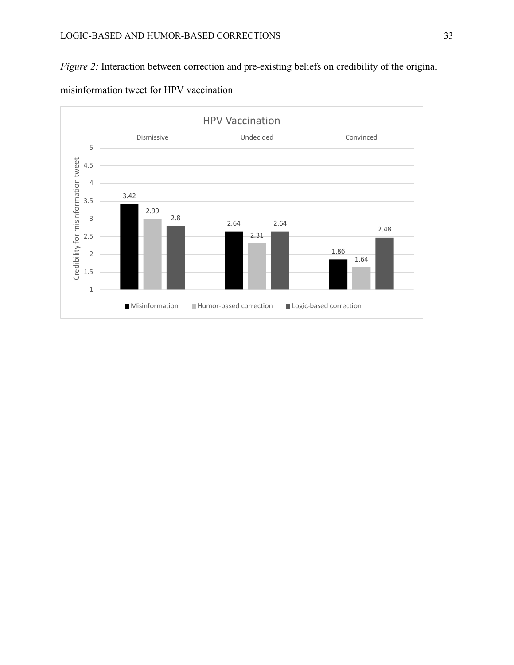# *Figure 2:* Interaction between correction and pre-existing beliefs on credibility of the original



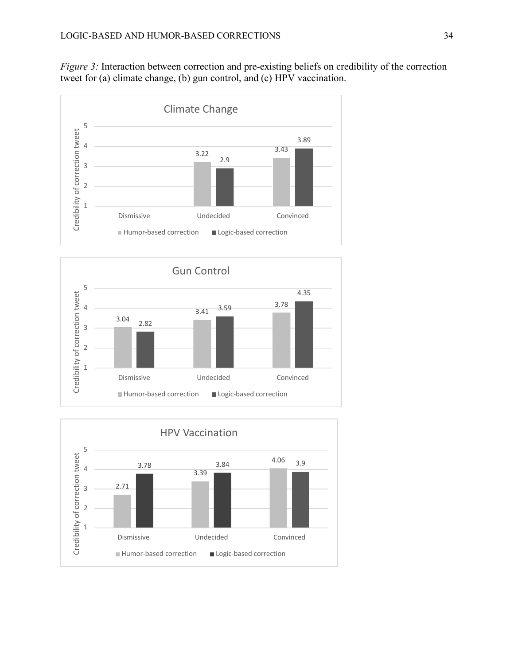*Figure 3:* Interaction between correction and pre-existing beliefs on credibility of the correction tweet for (a) climate change, (b) gun control, and (c) HPV vaccination.





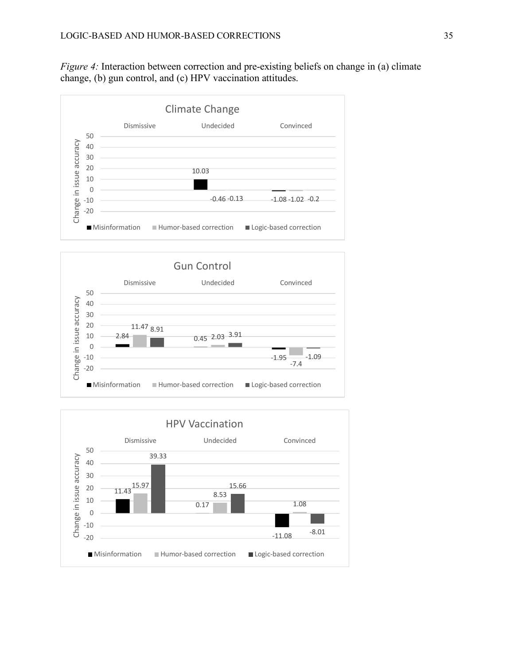*Figure 4:* Interaction between correction and pre-existing beliefs on change in (a) climate change, (b) gun control, and (c) HPV vaccination attitudes.